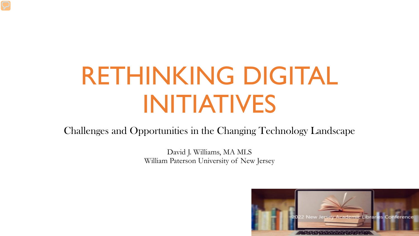# RETHINKING DIGITAL INITIATIVES

Challenges and Opportunities in the Changing Technology Landscape

David J. Williams, MA MLS William Paterson University of New Jersey

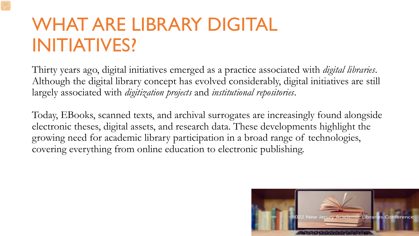# WHAT ARE LIBRARY DIGITAL INITIATIVES?

Thirty years ago, digital initiatives emerged as a practice associated with *digital libraries*. Although the digital library concept has evolved considerably, digital initiatives are still largely associated with *digitization projects* and *institutional repositories*.

Today, EBooks, scanned texts, and archival surrogates are increasingly found alongside electronic theses, digital assets, and research data. These developments highlight the growing need for academic library participation in a broad range of technologies, covering everything from online education to electronic publishing.

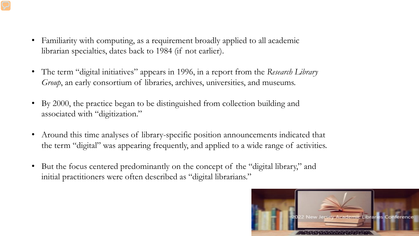- Familiarity with computing, as a requirement broadly applied to all academic librarian specialties, dates back to 1984 (if not earlier).
- The term "digital initiatives" appears in 1996, in a report from the *Research Library Group*, an early consortium of libraries, archives, universities, and museums.
- By 2000, the practice began to be distinguished from collection building and associated with "digitization."
- Around this time analyses of library-specific position announcements indicated that the term "digital" was appearing frequently, and applied to a wide range of activities.
- But the focus centered predominantly on the concept of the "digital library," and initial practitioners were often described as "digital librarians."

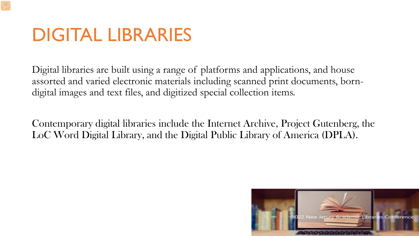### DIGITAL LIBRARIES

Digital libraries are built using a range of platforms and applications, and house assorted and varied electronic materials including scanned print documents, borndigital images and text files, and digitized special collection items.

Contemporary digital libraries include the Internet Archive, Project Gutenberg, the LoC Word Digital Library, and the Digital Public Library of America (DPLA).

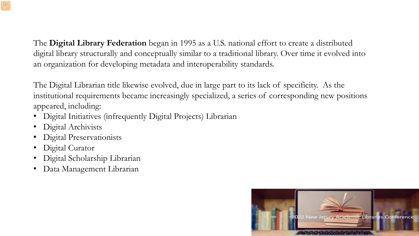The **Digital Library Federation** began in 1995 as a U.S. national effort to create a distributed digital library structurally and conceptually similar to a traditional library. Over time it evolved into an organization for developing metadata and interoperability standards.

The Digital Librarian title likewise evolved, due in large part to its lack of specificity. As the institutional requirements became increasingly specialized, a series of corresponding new positions appeared, including:

- Digital Initiatives (infrequently Digital Projects) Librarian
- Digital Archivists
- Digital Preservationists
- Digital Curator
- Digital Scholarship Librarian
- Data Management Librarian

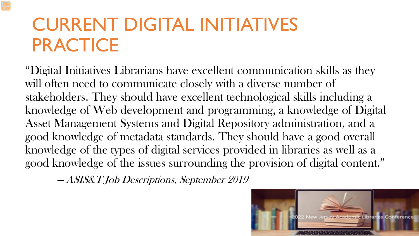# CURRENT DIGITAL INITIATIVES PRACTICE

"Digital Initiatives Librarians have excellent communication skills as they will often need to communicate closely with a diverse number of stakeholders. They should have excellent technological skills including a knowledge of Web development and programming, a knowledge of Digital Asset Management Systems and Digital Repository administration, and a good knowledge of metadata standards. They should have a good overall knowledge of the types of digital services provided in libraries as well as a good knowledge of the issues surrounding the provision of digital content."

—ASIS&T Job Descriptions, September 2019

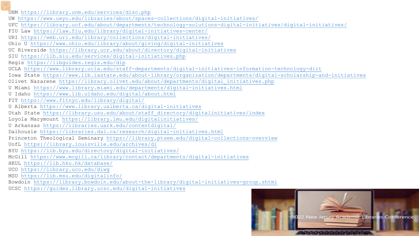UNM<https://library.unm.edu/services/disc.php> UW <https://www.uwyo.edu/libraries/about/spaces-collections/digital-initiatives/> UFC<https://library.ucf.edu/about/departments/technology-solutions-digital-initiatives/digital-initiatives/> FIU Law<https://law.fiu.edu/library/digital-initiatives-center/> URI<https://web.uri.edu/library/collections/digital-initiatives/> Ohio U <https://www.ohio.edu/library/about/giving/digital-initiatives> UC Riverside<https://library.ucr.edu/about/directory/digital-initiatives> SIU<https://lib.siu.edu/services/digital-initiatives.php> Regis <https://libguides.regis.edu/dip> UCLA<https://www.library.ucla.edu/staff-departments/digital-initiatives-information-technology-diit> Iowa State <https://www.lib.iastate.edu/about-library/organization/departments/digital-scholarship-and-initiatives> Olivet Nazarene [https://library.olivet.edu/about/departments/digital\\_initiatives.php](https://library.olivet.edu/about/departments/digital_initiatives.php) U Miami<https://www.library.miami.edu/departments/digital-initiatives.html> U Idaho<https://www.lib.uidaho.edu/digital/about.html> FIT<https://www.fitnyc.edu/library/digital/> U Alberta <https://www.library.ualberta.ca/digital-initiatives> Utah State [https://library.usu.edu/about/staff\\_directory/digitalinitiatives/index](https://library.usu.edu/about/staff_directory/digitalinitiatives/index) Loyola Marymount<https://library.lmu.edu/digitalinitiatives/> U Arkansas <https://libraries.uark.edu/contentdigital/> Dalhousie <https://libraries.dal.ca/research/digital-initiatives.html> Princeton Theological Seminary <https://library.ptsem.edu/digital-collections-overview> UofL <https://library.louisville.edu/archives/di> BYU<https://lib.byu.edu/directory/digital-initiatives/> McGill <https://www.mcgill.ca/library/contact/departments/digital-initiatives> HKUL<https://lib.hku.hk/database/> UCO<https://library.uco.edu/diwg> MSU<https://lib.msu.edu/digitalinfo/> Bowdoin<https://library.bowdoin.edu/about-the-library/digital-initiatives-group.shtml> UCSC<https://guides.library.ucsc.edu/digital-initiatives>

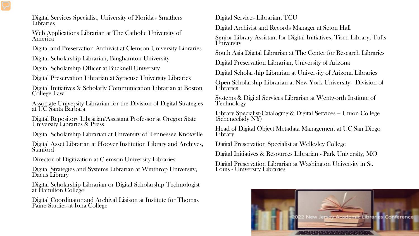Digital Services Specialist, University of Florida's Smathers Libraries

Web Applications Librarian at The Catholic University of America

Digital and Preservation Archivist at Clemson University Libraries

Digital Scholarship Librarian, Binghamton University

Digital Scholarship Officer at Bucknell University

Digital Preservation Librarian at Syracuse University Libraries

Digital Initiatives & Scholarly Communication Librarian at Boston College Law

Associate University Librarian for the Division of Digital Strategies at UC Santa Barbara

Digital Repository Librarian/Assistant Professor at Oregon State University Libraries & Press

Digital Scholarship Librarian at University of Tennessee Knoxville

Digital Asset Librarian at Hoover Institution Library and Archives, **Stanford** 

Director of Digitization at Clemson University Libraries

Digital Strategies and Systems Librarian at Winthrop University, Dacus Library

Digital Scholarship Librarian or Digital Scholarship Technologist at Hamilton College

Digital Coordinator and Archival Liaison at Institute for Thomas Paine Studies at Iona College

Digital Services Librarian, TCU

Digital Archivist and Records Manager at Seton Hall

Senior Library Assistant for Digital Initiatives, Tisch Library, Tufts University

South Asia Digital Librarian at The Center for Research Libraries

Digital Preservation Librarian, University of Arizona

Digital Scholarship Librarian at University of Arizona Libraries

Open Scholarship Librarian at New York University - Division of Libraries

Systems & Digital Services Librarian at Wentworth Institute of Technology

Library Specialist-Cataloging & Digital Services -- Union College (Schenectady NY)

Head of Digital Object Metadata Management at UC San Diego Library

Digital Preservation Specialist at Wellesley College

Digital Initiatives & Resources Librarian - Park University, MO

Digital Preservation Librarian at Washington University in St. Louis - University Libraries

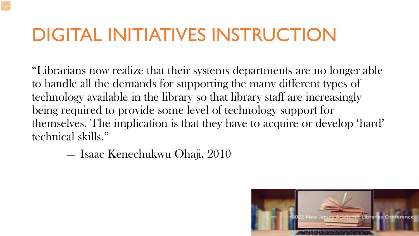## DIGITAL INITIATIVES INSTRUCTION

"Librarians now realize that their systems departments are no longer able to handle all the demands for supporting the many different types of technology available in the library so that library staff are increasingly being required to provide some level of technology support for themselves. The implication is that they have to acquire or develop 'hard' technical skills."

> —— Isaac Kenechukwu Ohaji, 2010

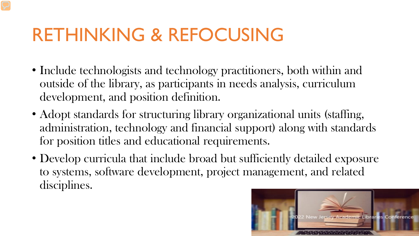### RETHINKING & REFOCUSING

- Include technologists and technology practitioners, both within and outside of the library, as participants in needs analysis, curriculum development, and position definition.
- Adopt standards for structuring library organizational units (staffing, administration, technology and financial support) along with standards for position titles and educational requirements.
- Develop curricula that include broad but sufficiently detailed exposure to systems, software development, project management, and related disciplines.